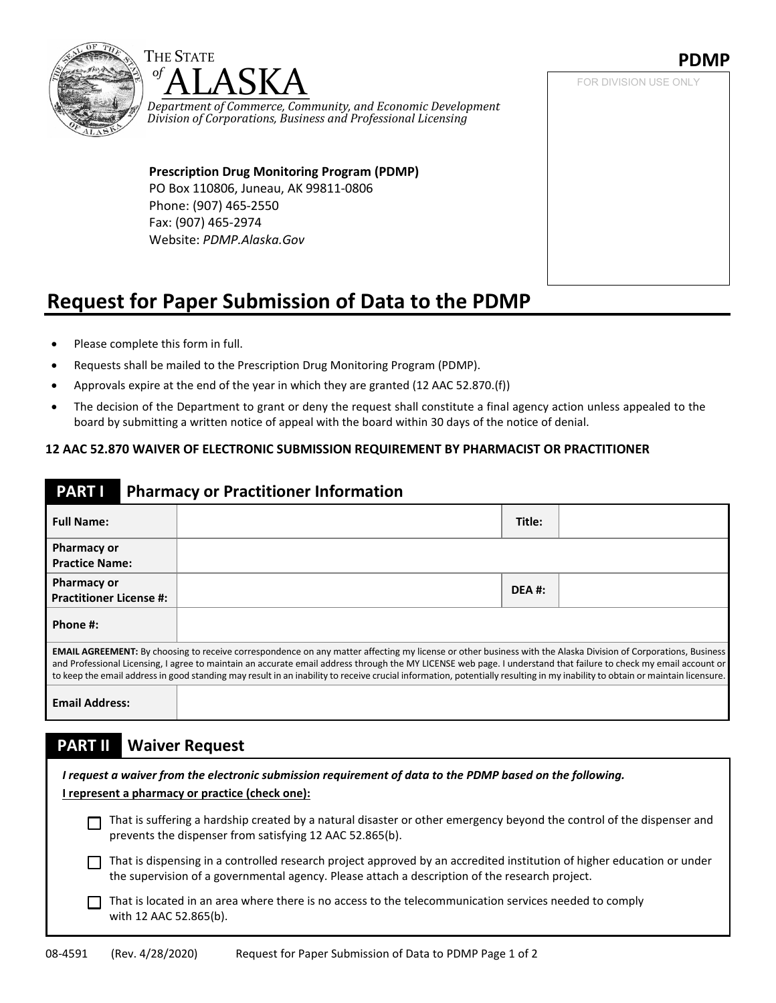



*Department of Commerce, Community, and Economic Development Division of Corporations, Business and Professional Licensing*

**Prescription Drug Monitoring Program (PDMP)** PO Box 110806, Juneau, AK 99811-0806 Phone: (907) 465-2550 Fax: (907) 465-2974 Website: *[PDMP.Alaska.Gov](http://pdmp.alaska.gov/)*

### **PDMP**

FOR DIVISION USE ONLY

# **Request for Paper Submission of Data to the PDMP**

- Please complete this form in full.
- Requests shall be mailed to the Prescription Drug Monitoring Program (PDMP).
- Approvals expire at the end of the year in which they are granted (12 AAC 52.870.(f))
- The decision of the Department to grant or deny the request shall constitute a final agency action unless appealed to the board by submitting a written notice of appeal with the board within 30 days of the notice of denial.

#### **12 AAC 52.870 WAIVER OF ELECTRONIC SUBMISSION REQUIREMENT BY PHARMACIST OR PRACTITIONER**

#### **PART I Pharmacy or Practitioner Information**

| <b>Full Name:</b>                                                                                                                                                                                                                                                                                                                                                                                                                                                                                                          |  | Title: |  |  |  |
|----------------------------------------------------------------------------------------------------------------------------------------------------------------------------------------------------------------------------------------------------------------------------------------------------------------------------------------------------------------------------------------------------------------------------------------------------------------------------------------------------------------------------|--|--------|--|--|--|
| <b>Pharmacy or</b><br><b>Practice Name:</b>                                                                                                                                                                                                                                                                                                                                                                                                                                                                                |  |        |  |  |  |
| <b>Pharmacy or</b><br><b>Practitioner License #:</b>                                                                                                                                                                                                                                                                                                                                                                                                                                                                       |  | DEA #: |  |  |  |
| Phone #:                                                                                                                                                                                                                                                                                                                                                                                                                                                                                                                   |  |        |  |  |  |
| <b>EMAIL AGREEMENT:</b> By choosing to receive correspondence on any matter affecting my license or other business with the Alaska Division of Corporations, Business<br>and Professional Licensing, I agree to maintain an accurate email address through the MY LICENSE web page. I understand that failure to check my email account or<br>to keep the email address in good standing may result in an inability to receive crucial information, potentially resulting in my inability to obtain or maintain licensure. |  |        |  |  |  |
| <b>Email Address:</b>                                                                                                                                                                                                                                                                                                                                                                                                                                                                                                      |  |        |  |  |  |

#### **PART II Waiver Request**

| I request a waiver from the electronic submission requirement of data to the PDMP based on the following.<br>I represent a pharmacy or practice (check one): |                                                                                                                                                                                                                          |  |  |  |  |
|--------------------------------------------------------------------------------------------------------------------------------------------------------------|--------------------------------------------------------------------------------------------------------------------------------------------------------------------------------------------------------------------------|--|--|--|--|
|                                                                                                                                                              | That is suffering a hardship created by a natural disaster or other emergency beyond the control of the dispenser and<br>prevents the dispenser from satisfying 12 AAC 52.865(b).                                        |  |  |  |  |
|                                                                                                                                                              | That is dispensing in a controlled research project approved by an accredited institution of higher education or under<br>the supervision of a governmental agency. Please attach a description of the research project. |  |  |  |  |
|                                                                                                                                                              | That is located in an area where there is no access to the telecommunication services needed to comply<br>with 12 AAC 52.865(b).                                                                                         |  |  |  |  |